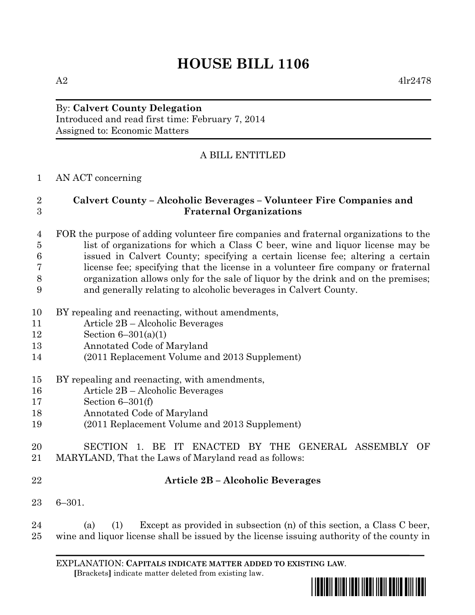# **HOUSE BILL 1106**

## By: **Calvert County Delegation** Introduced and read first time: February 7, 2014

Assigned to: Economic Matters

# A BILL ENTITLED

## AN ACT concerning

## **Calvert County – Alcoholic Beverages – Volunteer Fire Companies and Fraternal Organizations**

#### FOR the purpose of adding volunteer fire companies and fraternal organizations to the list of organizations for which a Class C beer, wine and liquor license may be issued in Calvert County; specifying a certain license fee; altering a certain license fee; specifying that the license in a volunteer fire company or fraternal organization allows only for the sale of liquor by the drink and on the premises; and generally relating to alcoholic beverages in Calvert County.

- BY repealing and reenacting, without amendments,
- Article 2B Alcoholic Beverages
- Section 6–301(a)(1)
- Annotated Code of Maryland
- (2011 Replacement Volume and 2013 Supplement)
- BY repealing and reenacting, with amendments,
- Article 2B Alcoholic Beverages
- Section 6–301(f)
- Annotated Code of Maryland
- (2011 Replacement Volume and 2013 Supplement)

## SECTION 1. BE IT ENACTED BY THE GENERAL ASSEMBLY OF MARYLAND, That the Laws of Maryland read as follows:

## **Article 2B – Alcoholic Beverages**

6–301.

 (a) (1) Except as provided in subsection (n) of this section, a Class C beer, wine and liquor license shall be issued by the license issuing authority of the county in

EXPLANATION: **CAPITALS INDICATE MATTER ADDED TO EXISTING LAW**.  **[**Brackets**]** indicate matter deleted from existing law.

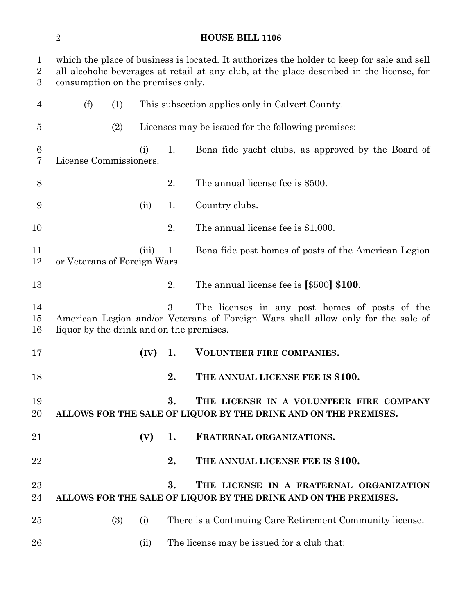## **HOUSE BILL 1106**

| $\mathbf{1}$<br>$\overline{2}$<br>$\boldsymbol{3}$ | which the place of business is located. It authorizes the holder to keep for sale and sell<br>all alcoholic beverages at retail at any club, at the place described in the license, for<br>consumption on the premises only. |     |      |    |                                                                                                            |  |
|----------------------------------------------------|------------------------------------------------------------------------------------------------------------------------------------------------------------------------------------------------------------------------------|-----|------|----|------------------------------------------------------------------------------------------------------------|--|
| 4                                                  | (f)                                                                                                                                                                                                                          | (1) |      |    | This subsection applies only in Calvert County.                                                            |  |
| 5                                                  |                                                                                                                                                                                                                              | (2) |      |    | Licenses may be issued for the following premises:                                                         |  |
| 6<br>7                                             | License Commissioners.                                                                                                                                                                                                       |     | (i)  | 1. | Bona fide yacht clubs, as approved by the Board of                                                         |  |
| 8                                                  |                                                                                                                                                                                                                              |     |      | 2. | The annual license fee is \$500.                                                                           |  |
| 9                                                  |                                                                                                                                                                                                                              |     | (ii) | 1. | Country clubs.                                                                                             |  |
| 10                                                 |                                                                                                                                                                                                                              |     |      | 2. | The annual license fee is $$1,000$ .                                                                       |  |
| 11<br>12                                           | Bona fide post homes of posts of the American Legion<br>(iii)<br>1.<br>or Veterans of Foreign Wars.                                                                                                                          |     |      |    |                                                                                                            |  |
| 13                                                 |                                                                                                                                                                                                                              |     |      | 2. | The annual license fee is $[$500]$ \$100.                                                                  |  |
| 14<br>15<br>16                                     | 3.<br>The licenses in any post homes of posts of the<br>American Legion and/or Veterans of Foreign Wars shall allow only for the sale of<br>liquor by the drink and on the premises.                                         |     |      |    |                                                                                                            |  |
| 17                                                 |                                                                                                                                                                                                                              |     | (IV) | 1. | VOLUNTEER FIRE COMPANIES.                                                                                  |  |
| 18                                                 |                                                                                                                                                                                                                              |     |      | 2. | THE ANNUAL LICENSE FEE IS \$100.                                                                           |  |
| 19<br>20                                           |                                                                                                                                                                                                                              |     |      | 3. | THE LICENSE IN A VOLUNTEER FIRE COMPANY<br>ALLOWS FOR THE SALE OF LIQUOR BY THE DRINK AND ON THE PREMISES. |  |
| 21                                                 |                                                                                                                                                                                                                              |     | (V)  | 1. | FRATERNAL ORGANIZATIONS.                                                                                   |  |
| 22                                                 |                                                                                                                                                                                                                              |     |      | 2. | THE ANNUAL LICENSE FEE IS \$100.                                                                           |  |
| 23<br>24                                           |                                                                                                                                                                                                                              |     |      | 3. | THE LICENSE IN A FRATERNAL ORGANIZATION<br>ALLOWS FOR THE SALE OF LIQUOR BY THE DRINK AND ON THE PREMISES. |  |
| 25                                                 |                                                                                                                                                                                                                              | (3) | (i)  |    | There is a Continuing Care Retirement Community license.                                                   |  |
| 26                                                 |                                                                                                                                                                                                                              |     | (ii) |    | The license may be issued for a club that:                                                                 |  |